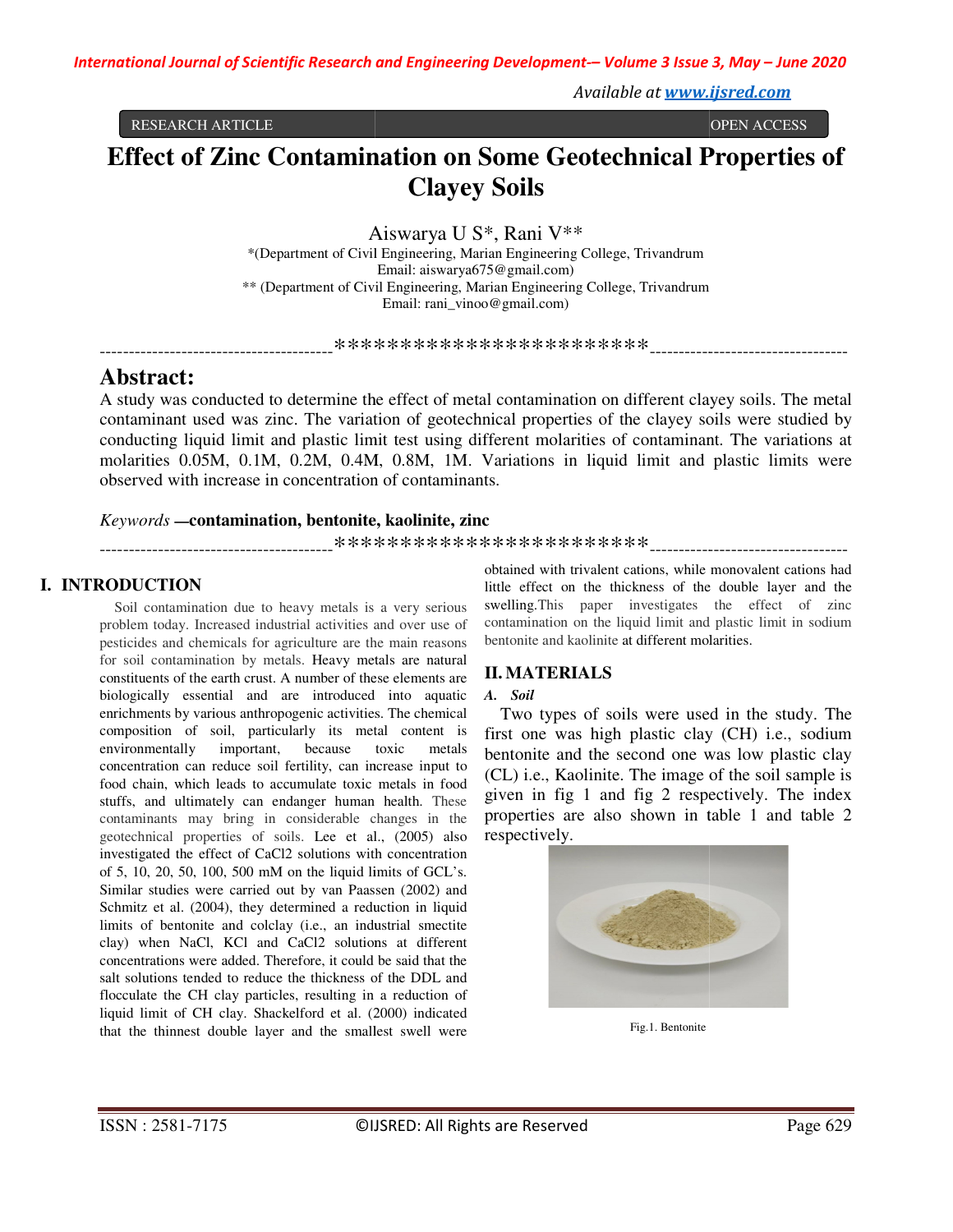*Available at www.ijsred.com*

RESEARCH ARTICLE

# **Effect of Zinc Contamination on Some Geotechnical Properties of Clayey Soils**

Aiswarya U S S\*, Rani V\*\*

\*(Department of Civil Engineering Engineering, Marian Engineering College, Trivandrum \*\* (Department of Civil Engineering, Marian Engineering College, Trivandrum Email: aiswarya675@gmail.com) Email: rani\_vinoo@gmail.com)

----------------------------------------\*\*\*\*\*\*\*\*\*\*\*\*\*\*\*\*\*\*\*\*\*\*\*\* ----------------------------------

## **Abstract:**

A study was conducted to determine the effect of metal contamination on different clayey soils. The metal contaminant used was zinc. The variation of geotechnical properties of the clayey soils were studied by conducting liquid limit and plastic limit test using different molarities of contaminant. The variations at molarities 0.05M, 0.1M, 0.2M, 0.4M, 0.8M, 1M. Variations in liquid limit and plastic limits were observed with increase in concentration of contaminants. observed with increase in concentration of contaminants study was conducted to determine the effect of metal contamination on different clayey soils. The metal<br>intaminant used was zinc. The variation of geotechnical properties of the clayey soils were studied by<br>inducting liqui act:<br>
was conducted to determine the effect of metal contamination on different clayey soils. The meta<br>
nant used was zinc. The variation of geotechnical properties of the clayey soils were studied by<br>
ng liquid limit and

#### *Keywords* **—contamination, bentonite, kaol bentonite, kaolinite, zinc**

----------------------------------------\*\*\*\*\*\*\*\*\*\*\*\*\*\*\*\*\*\*\*\*\*\*\*\* ----------------------------------

### **I. INTRODUCTION**

Soil contamination due to heavy metals is a very serious problem today. Increased industrial activities and over use of pesticides and chemicals for agriculture are the main reasons for soil contamination by metals. Heavy metals are natural constituents of the earth crust. A number of these elements are biologically essential and are introduced into aquatic enrichments by various anthropogenic activities. The chemical composition of soil, particularly its metal content is environmentally important, because concentration can reduce soil fertility, can increase input to food chain, which leads to accumulate toxic metals in food stuffs, and ultimately can endanger human health. contaminants may bring in considerable changes in the geotechnical properties of soils. Lee et al., (2005) also investigated the effect of CaCl2 solutions with concentration of 5, 10, 20, 50, 100, 500 mM on the liquid limits of GCL's. Similar studies were carried out by van Paassen (2002) and Schmitz et al. (2004), they determined a reduction in liquid limits of bentonite and colclay (i.e., an industrial smectite clay) when NaCl, KCl and CaCl2 solutions at different concentrations were added. Therefore, it could be said that the salt solutions tended to reduce the thickness of the DDL and flocculate the CH clay particles, resulting in a reduction of liquid limit of CH clay. Shackelford et al. (2000) indicated that the thinnest double layer and the smallest swell were ion due to heavy metals is a very serious<br>reased industrial activities and over use of<br>micals for agriculture are the main reasons<br>tion by metals. Heavy metals are natural<br>earth crust. A number of these elements are<br>trial concentration can reduce soil fertility, can increase input to food chain, which leads to accumulate toxic metals in food stuffs, and ultimately can endanger human health. These **CODUCTION**<br> **CONCTION**<br> **CONCHERN CONTEST TO THE CONTEST TO THE CONTEST TO THE CONTEST SURFORDED TO SURFORDED TO THE CONTENT CONTENT CONTENT CONTENT CONTENT CONTENT CONTENT CONTENT CONTENT CONTENT CONTENT CONTENT CONTENT** 

little effect on the thickness of the double layer and the swelling. This paper investigates the effect of zinc contamination on the liquid limit and plastic limit in sodium bentonite and kaolinite at different molarities. obtained with trivalent cations, while monovalent cations had

### **II. MATERIALS**

#### *A. Soil*

Two types of soils were used in the study. The first one was high plastic clay (CH) i.e., sodium bentonite and the second one was low plastic clay (CL) i.e., Kaolinite. The image of the soil sample is given in fig 1 and fig 2 respectively. The index properties are also shown in table 1 and table 2 respectively. **Example 12**<br> **in V\*\***<br> **in C+++**<br> **in** and  $\mathbf{F}$ <br> **in**  $\mathbf{F}$ <br> **in**  $\mathbf{F}$ <br> **in**  $\mathbf{F}$ <br> **in**  $\mathbf{F}$ <br> **in**  $\mathbf{F}$ <br> **in and respectively.** Trivandrum<br> **in and respectively** soils. The<br> **inverties of the claye** 



Fig.1. Bentonite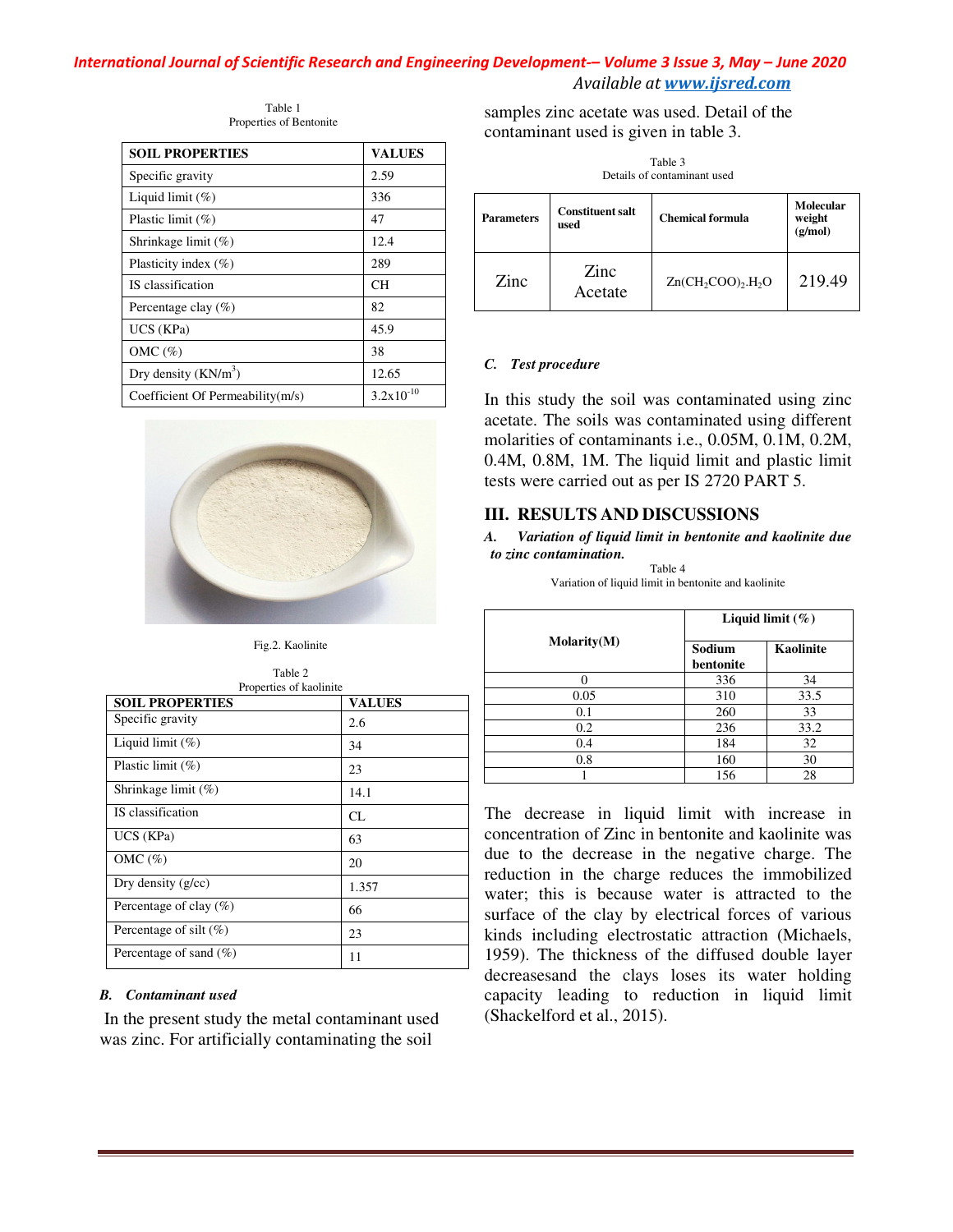#### *International Journal of Scientific Research and Engineering Development Development-– Volume 3 Issue 3 3, May – June 2020 Available at www.ijsred.com*

Table 1 Properties of Bentonite

| <b>SOIL PROPERTIES</b>           | <b>VALUES</b> |
|----------------------------------|---------------|
| Specific gravity                 | 2.59          |
| Liquid limit $(\%)$              | 336           |
| Plastic limit $(\%)$             | 47            |
| Shrinkage limit $(\%)$           | 12.4          |
| Plasticity index $(\% )$         | 289           |
| IS classification                | CН            |
| Percentage clay $(\%)$           | 82            |
| UCS (KPa)                        | 45.9          |
| OMC $(\%)$                       | 38            |
| Dry density $(KN/m^3)$           | 12.65         |
| Coefficient Of Permeability(m/s) | 3.2x10        |



Fig.2. Kaolinite

| Table 2                 |  |  |
|-------------------------|--|--|
| Properties of kaolinite |  |  |

| Specific gravity                                                                                                                             |                      |
|----------------------------------------------------------------------------------------------------------------------------------------------|----------------------|
|                                                                                                                                              | 2.59                 |
| Liquid limit (%)                                                                                                                             | 336                  |
| Plastic limit (%)                                                                                                                            | 47                   |
| Shrinkage limit (%)                                                                                                                          | 12.4                 |
| Plasticity index (%)                                                                                                                         | 289                  |
| IS classification                                                                                                                            | CН                   |
| Percentage clay (%)                                                                                                                          | 82                   |
| UCS (KPa)                                                                                                                                    | 45.9                 |
| OMC $(\%)$                                                                                                                                   | 38                   |
| Dry density $(KN/m^3)$                                                                                                                       | 12.65                |
| Coefficient Of Permeability(m/s)                                                                                                             | $3.2x10^{-10}$       |
|                                                                                                                                              |                      |
|                                                                                                                                              |                      |
| Fig.2. Kaolinite                                                                                                                             |                      |
| Table 2                                                                                                                                      |                      |
| Properties of kaolinite                                                                                                                      |                      |
|                                                                                                                                              | <b>VALUES</b><br>2.6 |
|                                                                                                                                              | 34                   |
|                                                                                                                                              | 23                   |
|                                                                                                                                              | 14.1                 |
|                                                                                                                                              | CL                   |
| <b>SOIL PROPERTIES</b><br>Specific gravity<br>Liquid limit (%)<br>Plastic limit (%)<br>Shrinkage limit (%)<br>IS classification<br>UCS (KPa) | 63                   |
| OMC (%)                                                                                                                                      | 20                   |
|                                                                                                                                              |                      |
|                                                                                                                                              | 1.357                |
| Dry density (g/cc)<br>Percentage of clay (%)<br>Percentage of silt (%)                                                                       | 66<br>23             |

#### *B. Contaminant used*

samples zinc acetate was used. Detain<br>contaminant used is given in table 3.

| ------<br>Details of contaminant used |                                 |                         |                                |  |
|---------------------------------------|---------------------------------|-------------------------|--------------------------------|--|
| <b>Parameters</b>                     | <b>Constituent salt</b><br>used | <b>Chemical formula</b> | Molecular<br>weight<br>(g/mol) |  |
| Zinc                                  | Zinc<br>Acetate                 | $Zn(CH_2COO)$ , $H_2O$  | 219.49                         |  |

Table 3

#### *C. Test procedure*

In this study the soil was contaminated using zinc acetate. The soils was contaminated using different molarities of contaminants i.e., 0.05M, 0.1M, 0.2M, 0.4M, 0.8M, 1M. The liquid limit and plastic limit tests were carried out as per IS 2720 PART 5. In this study the soil was contaminated using zinc<br>acetate. The soils was contaminated using different<br>molarities of contaminants i.e., 0.05M, 0.1M, 0.2M,<br>0.4M, 0.8M, 1M. The liquid limit and plastic limit<br>tests were carri

#### **III. RESULTS AND DISCUSSIONS**

A. Variation of liquid limit in bentonite and kaolinite due *to zinc contamination.* 

Table 4 Variation of liquid limit in bentonite and kaolinite

| <b>Molarity(M)</b> | Liquid limit $(\%)$ |                  |
|--------------------|---------------------|------------------|
|                    | Sodium<br>bentonite | <b>Kaolinite</b> |
|                    | 336                 | 34               |
| 0.05               | 310                 | 33.5             |
| 0.1                | 260                 | 33               |
| 0.2                | 236                 | 33.2             |
| 0.4                | 184                 | 32               |
| 0.8                | 160                 | 30               |
|                    | 156                 | 28               |

contamination of the samples zinc acetate was used. Detail of the<br>
orthonomic variation of the contamination acetate contamination acetate was used. Detail of the samples and contamination acetate  $\frac{12.4}{25}$  and  $\frac{1}{$ The decrease in liquid limit with increase in The decrease in liquid limit with increase in concentration of Zinc in bentonite and kaolinite was due to the decrease in the negative charge. The reduction in the charge reduces the immobilized water; this is because water is attracted to the surface of the clay by electrical forces of various kinds including electrostatic attraction (Michaels, 1959). The thickness of the diffused double layer decreasesand the clays loses its water holding capacity leading to reduction in liquid limit (Shackelford et al., 2015). Parameters<br>
Constituent salt<br>
used<br>
used<br>
used<br>
Example 10<br>
C. Test procedure<br>  $\frac{Zinc}{d\rho}$ <br>  $\frac{Zinc}{d\rho}$ <br>  $\frac{Zinc}{d\rho}$ <br>  $\frac{Zinc}{d\rho}$ <br>  $\frac{Zinc}{d\rho}$ <br>  $\frac{Zinc}{d\rho}$ <br>  $\frac{Zinc}{d\rho}$ <br>  $\frac{Zinc}{d\rho}$ <br>  $\frac{Zinc}{d\rho}$ <br>  $\frac{Zinc}{d\rho}$ <br>  $\$